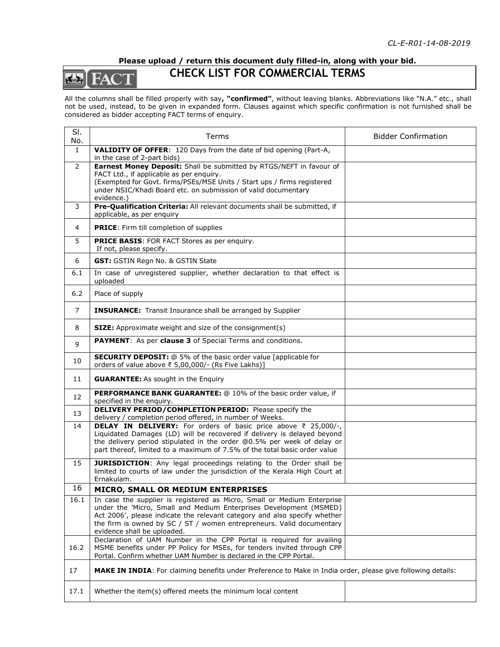## **Please upload / return this document duly filled-in, along with your bid.**

## de HA

## **CHECK LIST FOR COMMERCIAL TERMS**

All the columns shall be filled properly with say**, "confirmed"**, without leaving blanks. Abbreviations like "N.A." etc., shall not be used, instead, to be given in expanded form. Clauses against which specific confirmation is not furnished shall be considered as bidder accepting FACT terms of enquiry.

| SI.<br>No.          | Terms                                                                                                                                                                                                                                                                                                                                                                                  | <b>Bidder Confirmation</b> |
|---------------------|----------------------------------------------------------------------------------------------------------------------------------------------------------------------------------------------------------------------------------------------------------------------------------------------------------------------------------------------------------------------------------------|----------------------------|
| $\mathbf{1}$        | <b>VALIDITY OF OFFER:</b> 120 Days from the date of bid opening (Part-A,                                                                                                                                                                                                                                                                                                               |                            |
| $\overline{2}$<br>3 | in the case of 2-part bids)<br>Earnest Money Deposit: Shall be submitted by RTGS/NEFT in favour of<br>FACT Ltd., if applicable as per enquiry.<br>(Exempted for Govt. firms/PSEs/MSE Units / Start ups / firms registered<br>under NSIC/Khadi Board etc. on submission of valid documentary<br>evidence.)<br>Pre-Qualification Criteria: All relevant documents shall be submitted, if |                            |
|                     | applicable, as per enquiry                                                                                                                                                                                                                                                                                                                                                             |                            |
| 4                   | <b>PRICE:</b> Firm till completion of supplies                                                                                                                                                                                                                                                                                                                                         |                            |
| 5                   | PRICE BASIS: FOR FACT Stores as per enquiry.<br>If not, please specify.                                                                                                                                                                                                                                                                                                                |                            |
| 6                   | GST: GSTIN Regn No. & GSTIN State                                                                                                                                                                                                                                                                                                                                                      |                            |
| 6.1                 | In case of unregistered supplier, whether declaration to that effect is<br>uploaded                                                                                                                                                                                                                                                                                                    |                            |
| 6.2                 | Place of supply                                                                                                                                                                                                                                                                                                                                                                        |                            |
| $\overline{7}$      | <b>INSURANCE:</b> Transit Insurance shall be arranged by Supplier                                                                                                                                                                                                                                                                                                                      |                            |
| 8                   | <b>SIZE:</b> Approximate weight and size of the consignment(s)                                                                                                                                                                                                                                                                                                                         |                            |
| 9                   | <b>PAYMENT:</b> As per clause 3 of Special Terms and conditions.                                                                                                                                                                                                                                                                                                                       |                            |
| 10                  | <b>SECURITY DEPOSIT:</b> @ 5% of the basic order value [applicable for<br>orders of value above ₹ 5,00,000/- (Rs Five Lakhs)]                                                                                                                                                                                                                                                          |                            |
| 11                  | <b>GUARANTEE:</b> As sought in the Enquiry                                                                                                                                                                                                                                                                                                                                             |                            |
| 12                  | PERFORMANCE BANK GUARANTEE: @ 10% of the basic order value, if<br>specified in the enquiry.                                                                                                                                                                                                                                                                                            |                            |
| 13                  | <b>DELIVERY PERIOD/COMPLETION PERIOD:</b> Please specify the<br>delivery / completion period offered, in number of Weeks.                                                                                                                                                                                                                                                              |                            |
| 14                  | DELAY IN DELIVERY: For orders of basic price above ₹ 25,000/-,<br>Liquidated Damages (LD) will be recovered if delivery is delayed beyond<br>the delivery period stipulated in the order @0.5% per week of delay or<br>part thereof, limited to a maximum of 7.5% of the total basic order value                                                                                       |                            |
| 15                  | <b>JURISDICTION:</b> Any legal proceedings relating to the Order shall be<br>limited to courts of law under the jurisdiction of the Kerala High Court at<br>Ernakulam.                                                                                                                                                                                                                 |                            |
| 16                  | MICRO, SMALL OR MEDIUM ENTERPRISES                                                                                                                                                                                                                                                                                                                                                     |                            |
| 16.1                | In case the supplier is registered as Micro, Small or Medium Enterprise<br>under the 'Micro, Small and Medium Enterprises Development (MSMED)<br>Act 2006', please indicate the relevant category and also specify whether<br>the firm is owned by $SC / ST /$ women entrepreneurs. Valid documentary<br>evidence shall be uploaded.                                                   |                            |
| 16.2                | Declaration of UAM Number in the CPP Portal is required for availing<br>MSME benefits under PP Policy for MSEs, for tenders invited through CPP<br>Portal. Confirm whether UAM Number is declared in the CPP Portal.                                                                                                                                                                   |                            |
| 17                  | MAKE IN INDIA: For claiming benefits under Preference to Make in India order, please give following details:                                                                                                                                                                                                                                                                           |                            |
| 17.1                | Whether the item(s) offered meets the minimum local content                                                                                                                                                                                                                                                                                                                            |                            |